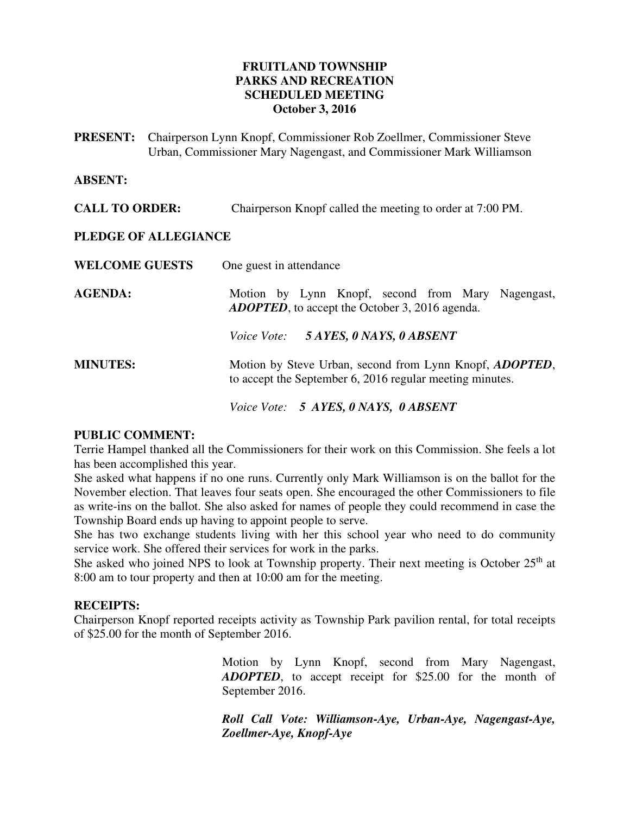### **FRUITLAND TOWNSHIP PARKS AND RECREATION SCHEDULED MEETING October 3, 2016**

**PRESENT:** Chairperson Lynn Knopf, Commissioner Rob Zoellmer, Commissioner Steve Urban, Commissioner Mary Nagengast, and Commissioner Mark Williamson

### **ABSENT:**

**CALL TO ORDER:** Chairperson Knopf called the meeting to order at 7:00 PM.

### **PLEDGE OF ALLEGIANCE**

| <b>WELCOME GUESTS</b> | One guest in attendance                                                                                                     |
|-----------------------|-----------------------------------------------------------------------------------------------------------------------------|
| <b>AGENDA:</b>        | Motion by Lynn Knopf, second from Mary Nagengast,<br><b>ADOPTED</b> , to accept the October 3, 2016 agenda.                 |
|                       | Voice Vote: 5 AYES, 0 NAYS, 0 ABSENT                                                                                        |
| <b>MINUTES:</b>       | Motion by Steve Urban, second from Lynn Knopf, <i>ADOPTED</i> ,<br>to accept the September 6, 2016 regular meeting minutes. |
|                       | Voice Vote: 5 AYES, 0 NAYS, 0 ABSENT                                                                                        |

### **PUBLIC COMMENT:**

Terrie Hampel thanked all the Commissioners for their work on this Commission. She feels a lot has been accomplished this year.

She asked what happens if no one runs. Currently only Mark Williamson is on the ballot for the November election. That leaves four seats open. She encouraged the other Commissioners to file as write-ins on the ballot. She also asked for names of people they could recommend in case the Township Board ends up having to appoint people to serve.

She has two exchange students living with her this school year who need to do community service work. She offered their services for work in the parks.

She asked who joined NPS to look at Township property. Their next meeting is October  $25<sup>th</sup>$  at 8:00 am to tour property and then at 10:00 am for the meeting.

#### **RECEIPTS:**

Chairperson Knopf reported receipts activity as Township Park pavilion rental, for total receipts of \$25.00 for the month of September 2016.

> Motion by Lynn Knopf, second from Mary Nagengast, *ADOPTED*, to accept receipt for \$25.00 for the month of September 2016.

> *Roll Call Vote: Williamson-Aye, Urban-Aye, Nagengast-Aye, Zoellmer-Aye, Knopf-Aye*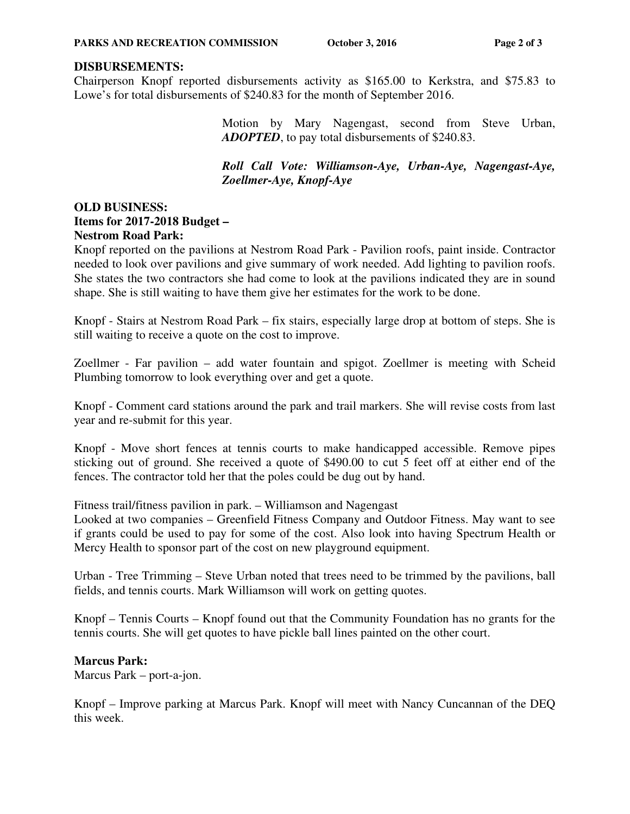### **DISBURSEMENTS:**

Chairperson Knopf reported disbursements activity as \$165.00 to Kerkstra, and \$75.83 to Lowe's for total disbursements of \$240.83 for the month of September 2016.

> Motion by Mary Nagengast, second from Steve Urban, *ADOPTED*, to pay total disbursements of \$240.83.

> *Roll Call Vote: Williamson-Aye, Urban-Aye, Nagengast-Aye, Zoellmer-Aye, Knopf-Aye*

# **OLD BUSINESS: Items for 2017-2018 Budget – Nestrom Road Park:**

Knopf reported on the pavilions at Nestrom Road Park - Pavilion roofs, paint inside. Contractor needed to look over pavilions and give summary of work needed. Add lighting to pavilion roofs. She states the two contractors she had come to look at the pavilions indicated they are in sound shape. She is still waiting to have them give her estimates for the work to be done.

Knopf - Stairs at Nestrom Road Park – fix stairs, especially large drop at bottom of steps. She is still waiting to receive a quote on the cost to improve.

Zoellmer - Far pavilion – add water fountain and spigot. Zoellmer is meeting with Scheid Plumbing tomorrow to look everything over and get a quote.

Knopf - Comment card stations around the park and trail markers. She will revise costs from last year and re-submit for this year.

Knopf - Move short fences at tennis courts to make handicapped accessible. Remove pipes sticking out of ground. She received a quote of \$490.00 to cut 5 feet off at either end of the fences. The contractor told her that the poles could be dug out by hand.

Fitness trail/fitness pavilion in park. – Williamson and Nagengast

Looked at two companies – Greenfield Fitness Company and Outdoor Fitness. May want to see if grants could be used to pay for some of the cost. Also look into having Spectrum Health or Mercy Health to sponsor part of the cost on new playground equipment.

Urban - Tree Trimming – Steve Urban noted that trees need to be trimmed by the pavilions, ball fields, and tennis courts. Mark Williamson will work on getting quotes.

Knopf – Tennis Courts – Knopf found out that the Community Foundation has no grants for the tennis courts. She will get quotes to have pickle ball lines painted on the other court.

### **Marcus Park:**

Marcus Park – port-a-jon.

Knopf – Improve parking at Marcus Park. Knopf will meet with Nancy Cuncannan of the DEQ this week.